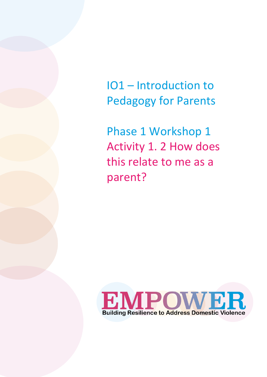IO1 – Introduction to Pedagogy for Parents

Phase 1 Workshop 1 Activity 1. 2 How does this relate to me as a parent?

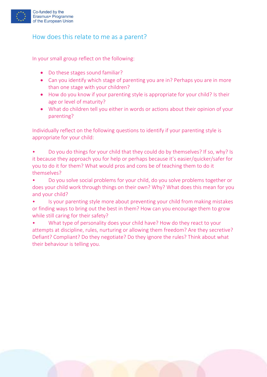

## How does this relate to me as a parent?

In your small group reflect on the following:

- Do these stages sound familiar?
- Can you identify which stage of parenting you are in? Perhaps you are in more than one stage with your children?
- How do you know if your parenting style is appropriate for your child? Is their age or level of maturity?
- What do children tell you either in words or actions about their opinion of your parenting?

Individually reflect on the following questions to identify if your parenting style is appropriate for your child:

- Do you do things for your child that they could do by themselves? If so, why? Is it because they approach you for help or perhaps because it's easier/quicker/safer for you to do it for them? What would pros and cons be of teaching them to do it themselves?
- Do you solve social problems for your child, do you solve problems together or does your child work through things on their own? Why? What does this mean for you and your child?
- Is your parenting style more about preventing your child from making mistakes or finding ways to bring out the best in them? How can you encourage them to grow while still caring for their safety?
- What type of personality does your child have? How do they react to your attempts at discipline, rules, nurturing or allowing them freedom? Are they secretive? Defiant? Compliant? Do they negotiate? Do they ignore the rules? Think about what their behaviour is telling you.